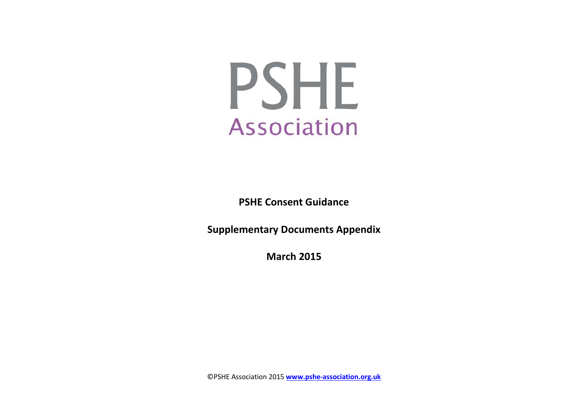

**PSHE Consent Guidance**

**Supplementary Documents Appendix**

**March 2015**

©PSHE Association 2015 **[www.pshe-association.org.uk](http://www.pshe-association.org.uk/)**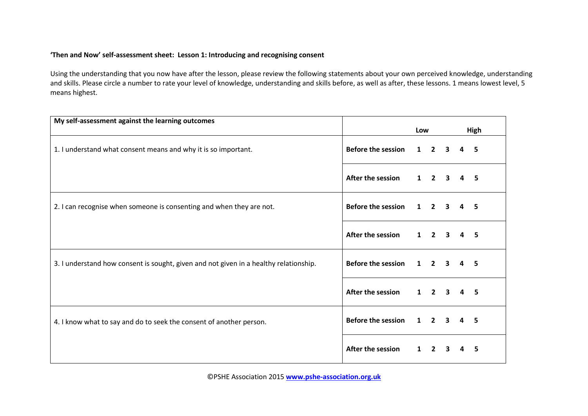## **'Then and Now' self-assessment sheet: Lesson 1: Introducing and recognising consent**

| My self-assessment against the learning outcomes                                      |                           | Low          |                         |   |                         | High |
|---------------------------------------------------------------------------------------|---------------------------|--------------|-------------------------|---|-------------------------|------|
| 1. I understand what consent means and why it is so important.                        | <b>Before the session</b> | $\mathbf{1}$ | $2 \quad 3$             |   | $\overline{\mathbf{A}}$ | -5   |
|                                                                                       | After the session         | $\mathbf{1}$ | $\overline{2}$          | 3 | 4                       | -5   |
| 2. I can recognise when someone is consenting and when they are not.                  | <b>Before the session</b> | $\mathbf{1}$ | $\overline{\mathbf{2}}$ | 3 |                         | -5   |
|                                                                                       | After the session         |              | $1 \quad 2 \quad 3$     |   | 4                       | -5   |
| 3. I understand how consent is sought, given and not given in a healthy relationship. | <b>Before the session</b> | $\mathbf{1}$ | $2^{\circ}$             | 3 | 4                       | -5   |
|                                                                                       | After the session         | $\mathbf 1$  | $2 \quad 3$             |   | 4                       | -5   |
| 4. I know what to say and do to seek the consent of another person.                   | <b>Before the session</b> | $\mathbf{1}$ | $2 \quad 3$             |   | $\mathbf{A}$            | -5   |
|                                                                                       | After the session         | $\mathbf{1}$ | $\overline{2}$          | 3 |                         | 5    |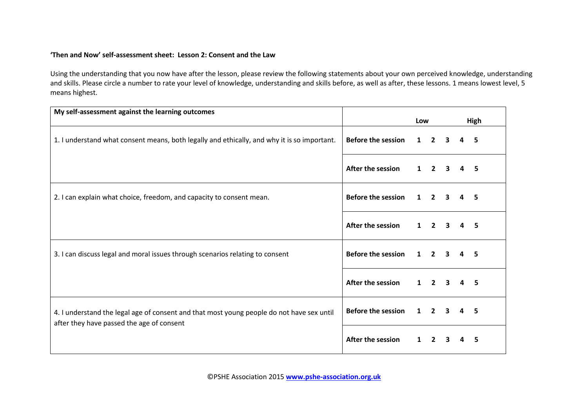## **'Then and Now' self-assessment sheet: Lesson 2: Consent and the Law**

| My self-assessment against the learning outcomes                                                                                       |                           | Low          |                         |              |                | High |
|----------------------------------------------------------------------------------------------------------------------------------------|---------------------------|--------------|-------------------------|--------------|----------------|------|
| 1. I understand what consent means, both legally and ethically, and why it is so important.                                            | <b>Before the session</b> |              | $1\quad 2$              | $\mathbf{3}$ | 4              | 5    |
|                                                                                                                                        | After the session         |              | $1 \quad 2$             |              | 4              | 5    |
| 2. I can explain what choice, freedom, and capacity to consent mean.                                                                   | <b>Before the session</b> | $\mathbf{1}$ | $2 \quad 3$             |              | 4              | 5.   |
|                                                                                                                                        | After the session         |              | $1 \quad 2 \quad 3$     |              | $\overline{a}$ | -5   |
| 3. I can discuss legal and moral issues through scenarios relating to consent                                                          | <b>Before the session</b> | $\mathbf{1}$ | $\overline{2}$          |              |                | 5.   |
|                                                                                                                                        | After the session         | $\mathbf{1}$ | $\overline{\mathbf{2}}$ | $\mathbf{3}$ | 4              | 5    |
| 4. I understand the legal age of consent and that most young people do not have sex until<br>after they have passed the age of consent | <b>Before the session</b> |              | $1 \quad 2 \quad 3$     |              | 4              | -5   |
|                                                                                                                                        | After the session         | 1            | $\overline{2}$          |              | 4              | 5    |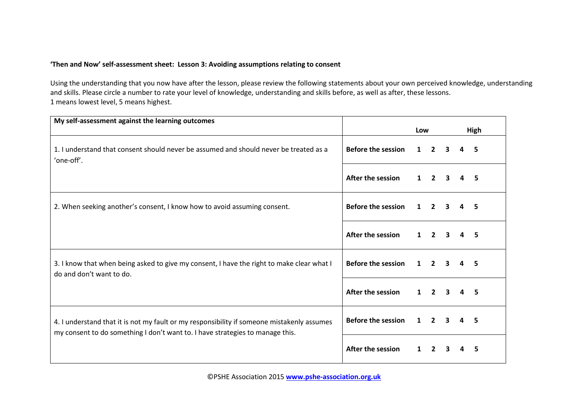## **'Then and Now' self-assessment sheet: Lesson 3: Avoiding assumptions relating to consent**

| My self-assessment against the learning outcomes                                                                      |                           | Low          |                |                         |   | High |
|-----------------------------------------------------------------------------------------------------------------------|---------------------------|--------------|----------------|-------------------------|---|------|
| 1. I understand that consent should never be assumed and should never be treated as a<br>'one-off'.                   | <b>Before the session</b> | $\mathbf{1}$ | $\overline{2}$ | 3                       | 4 | 5    |
|                                                                                                                       | After the session         | $\mathbf 1$  | $\overline{2}$ | 3                       |   | 5    |
| 2. When seeking another's consent, I know how to avoid assuming consent.                                              | <b>Before the session</b> | $\mathbf{1}$ | $\overline{2}$ | 3                       |   | 5    |
|                                                                                                                       | After the session         | $\mathbf{1}$ | $\overline{2}$ | $\overline{\mathbf{3}}$ | 4 | 5    |
| 3. I know that when being asked to give my consent, I have the right to make clear what I<br>do and don't want to do. | <b>Before the session</b> | $\mathbf{1}$ | $\overline{2}$ |                         |   | 5    |
|                                                                                                                       | After the session         | $\mathbf 1$  | $\overline{2}$ | 3                       |   | .5   |
| 4. I understand that it is not my fault or my responsibility if someone mistakenly assumes                            | <b>Before the session</b> |              | $2^{\circ}$    | 3                       | 4 | 5    |
| my consent to do something I don't want to. I have strategies to manage this.                                         | After the session         | $\mathbf{1}$ | $\overline{2}$ | 3                       | 4 | 5    |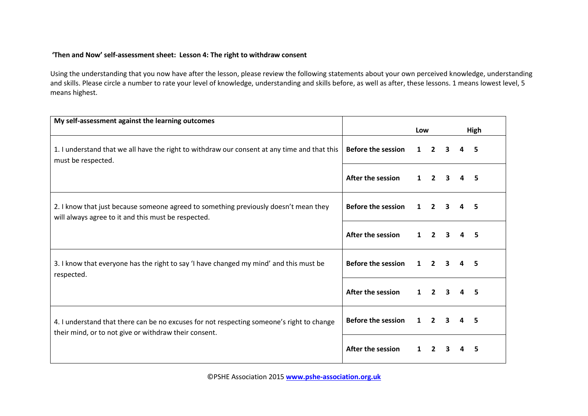## **'Then and Now' self-assessment sheet: Lesson 4: The right to withdraw consent**

| My self-assessment against the learning outcomes                                                                                            |                           | Low          |                |                         |          | High |
|---------------------------------------------------------------------------------------------------------------------------------------------|---------------------------|--------------|----------------|-------------------------|----------|------|
| 1. I understand that we all have the right to withdraw our consent at any time and that this<br>must be respected.                          | <b>Before the session</b> | $\mathbf{1}$ | $2^{\circ}$    | 3                       | 4        | 5    |
|                                                                                                                                             | After the session         | 1            | $\overline{2}$ |                         | 4        | 5    |
| 2. I know that just because someone agreed to something previously doesn't mean they<br>will always agree to it and this must be respected. | <b>Before the session</b> | $\mathbf{1}$ | $\mathbf{2}$   |                         |          | 5    |
|                                                                                                                                             | After the session         | $\mathbf{1}$ | $\mathbf{2}$   | $\mathbf{3}$            | 4        | 5    |
| 3. I know that everyone has the right to say 'I have changed my mind' and this must be<br>respected.                                        | <b>Before the session</b> | $\mathbf 1$  | $\overline{2}$ |                         |          | 5    |
|                                                                                                                                             | After the session         | 1            | $2^{\circ}$    | 3                       | 4        | 5    |
| 4. I understand that there can be no excuses for not respecting someone's right to change                                                   | <b>Before the session</b> | $\mathbf{1}$ | $\mathbf{2}$   | $\overline{\mathbf{3}}$ | $\Delta$ | 5    |
| their mind, or to not give or withdraw their consent.                                                                                       | <b>After the session</b>  |              | $\mathbf{z}$   |                         |          |      |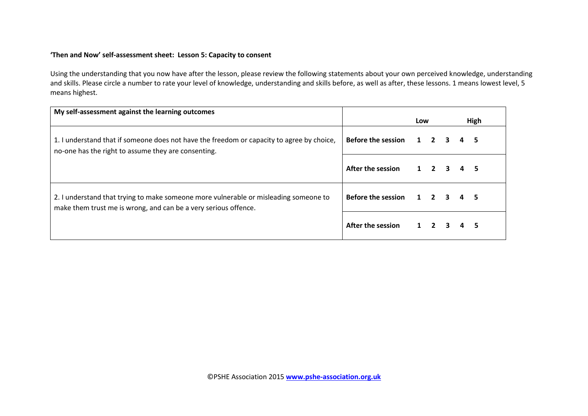### **'Then and Now' self-assessment sheet: Lesson 5: Capacity to consent**

| My self-assessment against the learning outcomes                                                                                                        |                           | Low |                     |                         | High |
|---------------------------------------------------------------------------------------------------------------------------------------------------------|---------------------------|-----|---------------------|-------------------------|------|
| 1. I understand that if someone does not have the freedom or capacity to agree by choice,<br>no-one has the right to assume they are consenting.        | Before the session 1 2 3  |     |                     |                         |      |
|                                                                                                                                                         | After the session         |     | $1\quad 2$          | 3                       |      |
| 2. I understand that trying to make someone more vulnerable or misleading someone to<br>make them trust me is wrong, and can be a very serious offence. | <b>Before the session</b> |     | $1 \quad 2 \quad 3$ |                         |      |
|                                                                                                                                                         | After the session         |     | $1\quad 2$          | $\overline{\mathbf{3}}$ |      |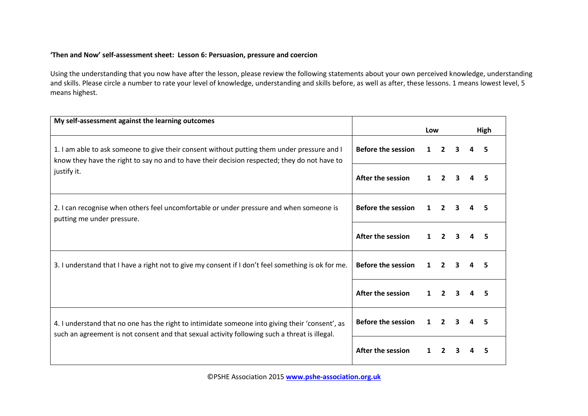## **'Then and Now' self-assessment sheet: Lesson 6: Persuasion, pressure and coercion**

| My self-assessment against the learning outcomes                                                                                                                                                 | Low                       |              |                | High |  |   |
|--------------------------------------------------------------------------------------------------------------------------------------------------------------------------------------------------|---------------------------|--------------|----------------|------|--|---|
| 1. I am able to ask someone to give their consent without putting them under pressure and I<br>know they have the right to say no and to have their decision respected; they do not have to      | <b>Before the session</b> | $\mathbf{1}$ | $\overline{2}$ | 3    |  | 5 |
| justify it.                                                                                                                                                                                      | After the session         |              | $\overline{2}$ |      |  |   |
| 2. I can recognise when others feel uncomfortable or under pressure and when someone is<br>putting me under pressure.                                                                            | <b>Before the session</b> |              | $\overline{2}$ |      |  |   |
|                                                                                                                                                                                                  | After the session         | $\mathbf 1$  | $\overline{2}$ | 3    |  | 5 |
| 3. I understand that I have a right not to give my consent if I don't feel something is ok for me.                                                                                               | <b>Before the session</b> |              | $\overline{2}$ |      |  |   |
|                                                                                                                                                                                                  | After the session         |              | $\overline{2}$ | 3    |  |   |
| 4. I understand that no one has the right to intimidate someone into giving their 'consent', as<br>such an agreement is not consent and that sexual activity following such a threat is illegal. | <b>Before the session</b> |              | $\mathbf{2}$   | 3    |  | 5 |
|                                                                                                                                                                                                  | After the session         |              |                |      |  |   |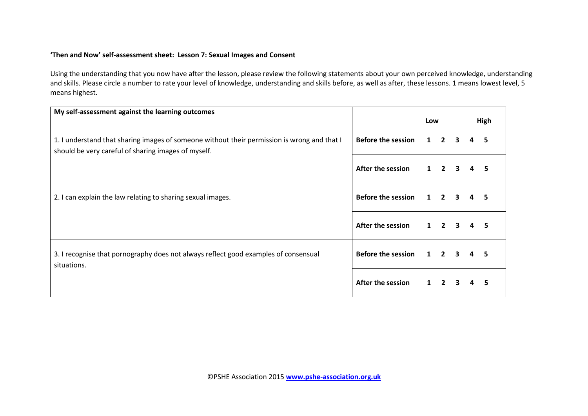## **'Then and Now' self-assessment sheet: Lesson 7: Sexual Images and Consent**

| My self-assessment against the learning outcomes                                            |                           | Low |                     |   | High |
|---------------------------------------------------------------------------------------------|---------------------------|-----|---------------------|---|------|
|                                                                                             |                           |     |                     |   |      |
| 1. I understand that sharing images of someone without their permission is wrong and that I | <b>Before the session</b> |     | $1 \quad 2 \quad 3$ | 4 |      |
| should be very careful of sharing images of myself.                                         |                           |     |                     |   |      |
|                                                                                             | After the session         |     | $1 \quad 2 \quad 3$ | 4 | 5    |
|                                                                                             | Before the session 1 2 3  |     |                     | 4 |      |
| 2. I can explain the law relating to sharing sexual images.                                 |                           |     |                     |   |      |
|                                                                                             | After the session         |     | $1 \quad 2 \quad 3$ |   |      |
|                                                                                             |                           |     |                     |   |      |
| 3. I recognise that pornography does not always reflect good examples of consensual         | Before the session 1 2 3  |     |                     | 4 | 5    |
| situations.                                                                                 |                           |     |                     |   |      |
|                                                                                             | After the session         |     | $1\quad 2$          |   |      |
|                                                                                             |                           |     |                     |   |      |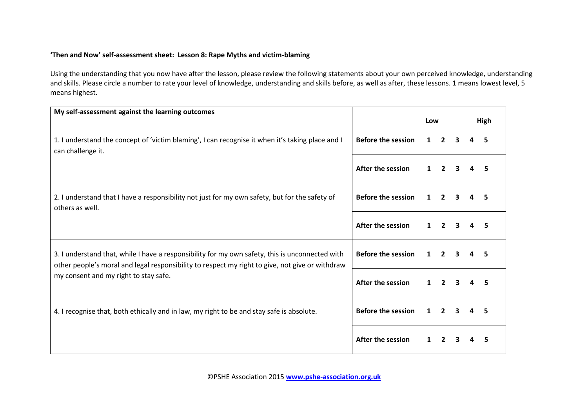## **'Then and Now' self-assessment sheet: Lesson 8: Rape Myths and victim-blaming**

| My self-assessment against the learning outcomes                                                                                                                                                   |                           | Low          |                |                         |              | High |
|----------------------------------------------------------------------------------------------------------------------------------------------------------------------------------------------------|---------------------------|--------------|----------------|-------------------------|--------------|------|
| 1. I understand the concept of 'victim blaming', I can recognise it when it's taking place and I<br>can challenge it.                                                                              | <b>Before the session</b> | $\mathbf{1}$ | $\overline{2}$ | $\overline{\mathbf{3}}$ |              | 5.   |
|                                                                                                                                                                                                    | <b>After the session</b>  | $\mathbf{1}$ | $\overline{2}$ | 3                       |              |      |
| 2. I understand that I have a responsibility not just for my own safety, but for the safety of<br>others as well.                                                                                  | <b>Before the session</b> |              | $\overline{2}$ | 3                       |              |      |
|                                                                                                                                                                                                    | After the session         | $\mathbf{1}$ | $2^{\circ}$    | $\overline{\mathbf{3}}$ | $\mathbf{A}$ | 5    |
| 3. I understand that, while I have a responsibility for my own safety, this is unconnected with<br>other people's moral and legal responsibility to respect my right to give, not give or withdraw | <b>Before the session</b> | $\mathbf 1$  | $\overline{2}$ | 3                       |              | 5    |
| my consent and my right to stay safe.                                                                                                                                                              | After the session         | $\mathbf{1}$ | $2^{\circ}$    | 3                       |              | 5    |
| 4. I recognise that, both ethically and in law, my right to be and stay safe is absolute.                                                                                                          | <b>Before the session</b> | $\mathbf{1}$ | $\overline{2}$ | 3                       |              | 5    |
|                                                                                                                                                                                                    | <b>After the session</b>  | 1            | $\overline{2}$ | 3                       |              | 5    |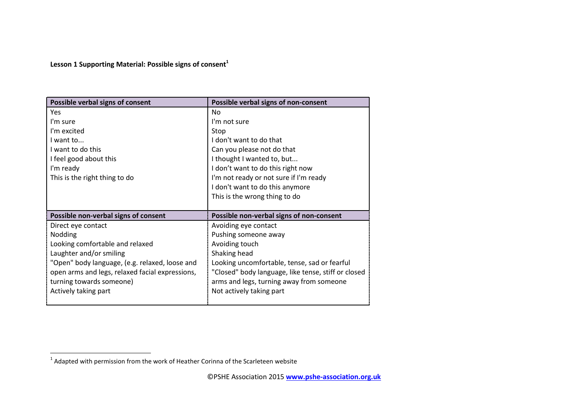# **Lesson 1 Supporting Material: Possible signs of consent<sup>1</sup>**

| Possible verbal signs of consent                | Possible verbal signs of non-consent                |
|-------------------------------------------------|-----------------------------------------------------|
| Yes                                             | No                                                  |
| I'm sure                                        | I'm not sure                                        |
| I'm excited                                     | Stop                                                |
| I want to                                       | I don't want to do that                             |
| I want to do this                               | Can you please not do that                          |
| I feel good about this                          | I thought I wanted to, but                          |
| I'm ready                                       | I don't want to do this right now                   |
| This is the right thing to do                   | I'm not ready or not sure if I'm ready              |
|                                                 | I don't want to do this anymore                     |
|                                                 | This is the wrong thing to do                       |
|                                                 |                                                     |
| Possible non-verbal signs of consent            | Possible non-verbal signs of non-consent            |
| Direct eye contact                              | Avoiding eye contact                                |
| Nodding                                         | Pushing someone away                                |
| Looking comfortable and relaxed                 | Avoiding touch                                      |
|                                                 |                                                     |
| Laughter and/or smiling                         | Shaking head                                        |
| "Open" body language, (e.g. relaxed, loose and  | Looking uncomfortable, tense, sad or fearful        |
| open arms and legs, relaxed facial expressions, | "Closed" body language, like tense, stiff or closed |
| turning towards someone)                        | arms and legs, turning away from someone            |
| Actively taking part                            | Not actively taking part                            |

 1 Adapted with permission from the work of Heather Corinna of the Scarleteen website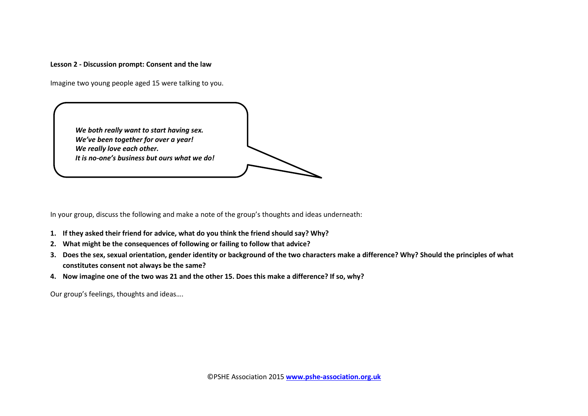#### **Lesson 2 - Discussion prompt: Consent and the law**

Imagine two young people aged 15 were talking to you.



In your group, discuss the following and make a note of the group's thoughts and ideas underneath:

- **1. If they asked their friend for advice, what do you think the friend should say? Why?**
- **2. What might be the consequences of following or failing to follow that advice?**
- **3. Does the sex, sexual orientation, gender identity or background of the two characters make a difference? Why? Should the principles of what constitutes consent not always be the same?**
- **4. Now imagine one of the two was 21 and the other 15. Does this make a difference? If so, why?**

Our group's feelings, thoughts and ideas….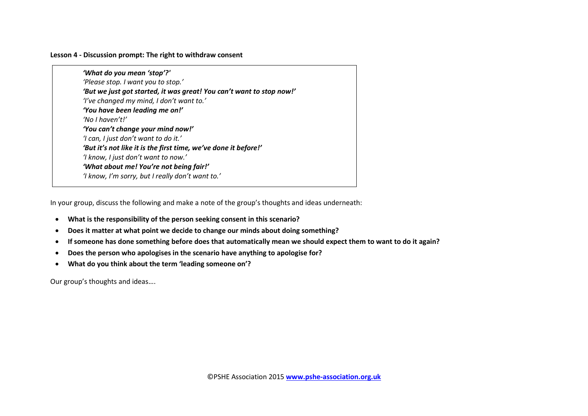#### **Lesson 4 - Discussion prompt: The right to withdraw consent**

*'What do you mean 'stop'?' 'Please stop. I want you to stop.' 'But we just got started, it was great! You can't want to stop now!' 'I've changed my mind, I don't want to.' 'You have been leading me on!' 'No I haven't!' 'You can't change your mind now!' 'I can, I just don't want to do it.' 'But it's not like it is the first time, we've done it before!' 'I know, I just don't want to now.' 'What about me! You're not being fair!' 'I know, I'm sorry, but I really don't want to.'*

In your group, discuss the following and make a note of the group's thoughts and ideas underneath:

- **What is the responsibility of the person seeking consent in this scenario?**
- **Does it matter at what point we decide to change our minds about doing something?**
- **If someone has done something before does that automatically mean we should expect them to want to do it again?**
- **Does the person who apologises in the scenario have anything to apologise for?**
- **What do you think about the term 'leading someone on'?**

Our group's thoughts and ideas….